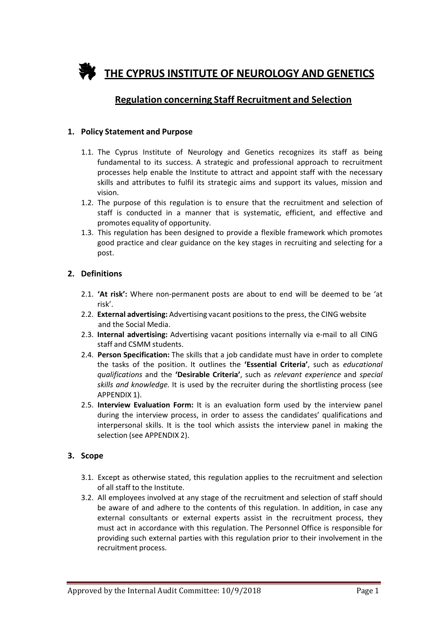

# **Regulation concerning Staff Recruitment and Selection**

#### **1. Policy Statement and Purpose**

- 1.1. The Cyprus Institute of Neurology and Genetics recognizes its staff as being fundamental to its success. A strategic and professional approach to recruitment processes help enable the Institute to attract and appoint staff with the necessary skills and attributes to fulfil its strategic aims and support its values, mission and vision.
- 1.2. The purpose of this regulation is to ensure that the recruitment and selection of staff is conducted in a manner that is systematic, efficient, and effective and promotes equality of opportunity.
- 1.3. This regulation has been designed to provide a flexible framework which promotes good practice and clear guidance on the key stages in recruiting and selecting for a post.

#### **2. Definitions**

- 2.1. **'At risk':** Where non-permanent posts are about to end will be deemed to be 'at risk'.
- 2.2. **External advertising:** Advertising vacant positions to the press, the CING website and the Social Media.
- 2.3. **Internal advertising:** Advertising vacant positions internally via e-mail to all CING staff and CSMM students.
- 2.4. **Person Specification:** The skills that a job candidate must have in order to complete the tasks of the position. It outlines the **'Essential Criteria'**, such as *educational qualifications* and the **'Desirable Criteria'**, such as *relevant experience* and *special skills and knowledge.* It is used by the recruiter during the shortlisting process (see APPENDIX 1).
- 2.5. **Interview Evaluation Form:** It is an evaluation form used by the interview panel during the interview process, in order to assess the candidates' qualifications and interpersonal skills. It is the tool which assists the interview panel in making the selection (see APPENDIX 2).

#### **3. Scope**

- 3.1. Except as otherwise stated, this regulation applies to the recruitment and selection of all staff to the Institute.
- 3.2. All employees involved at any stage of the recruitment and selection of staff should be aware of and adhere to the contents of this regulation. In addition, in case any external consultants or external experts assist in the recruitment process, they must act in accordance with this regulation. The Personnel Office is responsible for providing such external parties with this regulation prior to their involvement in the recruitment process.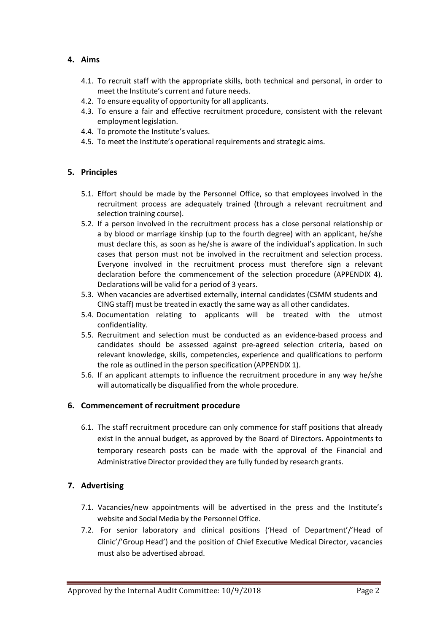## **4. Aims**

- 4.1. To recruit staff with the appropriate skills, both technical and personal, in order to meet the Institute's current and future needs.
- 4.2. To ensure equality of opportunity for all applicants.
- 4.3. To ensure a fair and effective recruitment procedure, consistent with the relevant employment legislation.
- 4.4. To promote the Institute's values.
- 4.5. To meet the Institute's operational requirements and strategic aims.

## **5. Principles**

- 5.1. Effort should be made by the Personnel Office, so that employees involved in the recruitment process are adequately trained (through a relevant recruitment and selection training course).
- 5.2. If a person involved in the recruitment process has a close personal relationship or a by blood or marriage kinship (up to the fourth degree) with an applicant, he/she must declare this, as soon as he/she is aware of the individual's application. In such cases that person must not be involved in the recruitment and selection process. Everyone involved in the recruitment process must therefore sign a relevant declaration before the commencement of the selection procedure (APPENDIX 4). Declarations will be valid for a period of 3 years.
- 5.3. When vacancies are advertised externally, internal candidates (CSMM students and CING staff) must be treated in exactly the same way as all other candidates.
- 5.4. Documentation relating to applicants will be treated with the utmost confidentiality.
- 5.5. Recruitment and selection must be conducted as an evidence-based process and candidates should be assessed against pre-agreed selection criteria, based on relevant knowledge, skills, competencies, experience and qualifications to perform the role as outlined in the person specification (APPENDIX 1).
- 5.6. If an applicant attempts to influence the recruitment procedure in any way he/she will automatically be disqualified from the whole procedure.

## **6. Commencement of recruitment procedure**

6.1. The staff recruitment procedure can only commence for staff positions that already exist in the annual budget, as approved by the Board of Directors. Appointments to temporary research posts can be made with the approval of the Financial and Administrative Director provided they are fully funded by research grants.

## **7. Advertising**

- 7.1. Vacancies/new appointments will be advertised in the press and the Institute's website and Social Media by the Personnel Office.
- 7.2. For senior laboratory and clinical positions ('Head of Department'/'Head of Clinic'/'Group Head') and the position of Chief Executive Medical Director, vacancies must also be advertised abroad.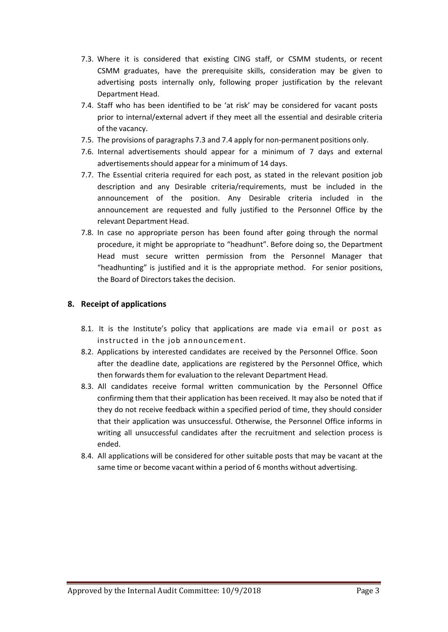- 7.3. Where it is considered that existing CING staff, or CSMM students, or recent CSMM graduates, have the prerequisite skills, consideration may be given to advertising posts internally only, following proper justification by the relevant Department Head.
- 7.4. Staff who has been identified to be 'at risk' may be considered for vacant posts prior to internal/external advert if they meet all the essential and desirable criteria of the vacancy.
- 7.5. The provisions of paragraphs 7.3 and 7.4 apply for non-permanent positions only.
- 7.6. Internal advertisements should appear for a minimum of 7 days and external advertisements should appear for a minimum of 14 days.
- 7.7. The Essential criteria required for each post, as stated in the relevant position job description and any Desirable criteria/requirements, must be included in the announcement of the position. Any Desirable criteria included in the announcement are requested and fully justified to the Personnel Office by the relevant Department Head.
- 7.8. In case no appropriate person has been found after going through the normal procedure, it might be appropriate to "headhunt". Before doing so, the Department Head must secure written permission from the Personnel Manager that "headhunting" is justified and it is the appropriate method. For senior positions, the Board of Directors takes the decision.

## **8. Receipt of applications**

- 8.1. It is the Institute's policy that applications are made via email or post as instructed in the job announcement.
- 8.2. Applications by interested candidates are received by the Personnel Office. Soon after the deadline date, applications are registered by the Personnel Office, which then forwards them for evaluation to the relevant Department Head.
- 8.3. All candidates receive formal written communication by the Personnel Office confirming them that their application has been received. It may also be noted that if they do not receive feedback within a specified period of time, they should consider that their application was unsuccessful. Otherwise, the Personnel Office informs in writing all unsuccessful candidates after the recruitment and selection process is ended.
- 8.4. All applications will be considered for other suitable posts that may be vacant at the same time or become vacant within a period of 6 months without advertising.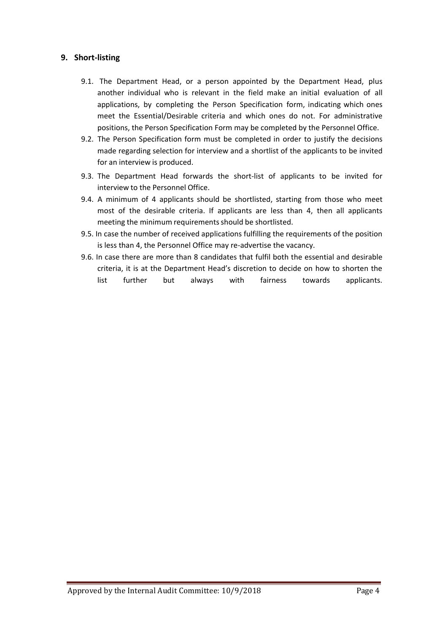## **9. Short-listing**

- 9.1. The Department Head, or a person appointed by the Department Head, plus another individual who is relevant in the field make an initial evaluation of all applications, by completing the Person Specification form, indicating which ones meet the Essential/Desirable criteria and which ones do not. For administrative positions, the Person Specification Form may be completed by the Personnel Office.
- 9.2. The Person Specification form must be completed in order to justify the decisions made regarding selection for interview and a shortlist of the applicants to be invited for an interview is produced.
- 9.3. The Department Head forwards the short-list of applicants to be invited for interview to the Personnel Office.
- 9.4. A minimum of 4 applicants should be shortlisted, starting from those who meet most of the desirable criteria. If applicants are less than 4, then all applicants meeting the minimum requirements should be shortlisted.
- 9.5. In case the number of received applications fulfilling the requirements of the position is less than 4, the Personnel Office may re-advertise the vacancy.
- 9.6. In case there are more than 8 candidates that fulfil both the essential and desirable criteria, it is at the Department Head's discretion to decide on how to shorten the list further but always with fairness towards applicants.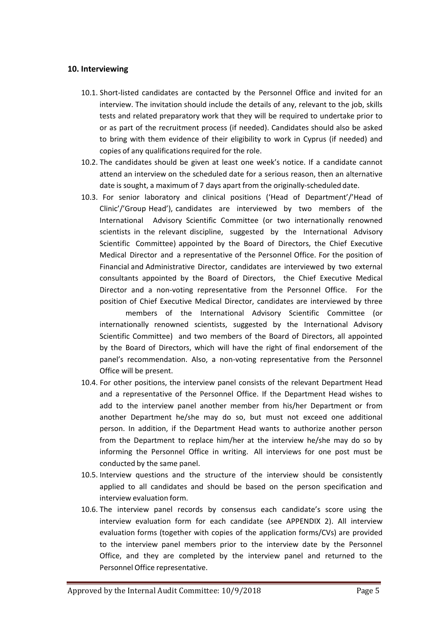#### **10. Interviewing**

- 10.1. Short-listed candidates are contacted by the Personnel Office and invited for an interview. The invitation should include the details of any, relevant to the job, skills tests and related preparatory work that they will be required to undertake prior to or as part of the recruitment process (if needed). Candidates should also be asked to bring with them evidence of their eligibility to work in Cyprus (if needed) and copies of any qualifications required for the role.
- 10.2. The candidates should be given at least one week's notice. If a candidate cannot attend an interview on the scheduled date for a serious reason, then an alternative date is sought, a maximum of 7 days apart from the originally-scheduled date.
- 10.3. For senior laboratory and clinical positions ('Head of Department'/'Head of Clinic'/'Group Head'), candidates are interviewed by two members of the International Advisory Scientific Committee (or two internationally renowned scientists in the relevant discipline, suggested by the International Advisory Scientific Committee) appointed by the Board of Directors, the Chief Executive Medical Director and a representative of the Personnel Office. For the position of Financial and Administrative Director, candidates are interviewed by two external consultants appointed by the Board of Directors, the Chief Executive Medical Director and a non-voting representative from the Personnel Office. For the position of Chief Executive Medical Director, candidates are interviewed by three

members of the International Advisory Scientific Committee (or internationally renowned scientists, suggested by the International Advisory Scientific Committee) and two members of the Board of Directors, all appointed by the Board of Directors, which will have the right of final endorsement of the panel's recommendation. Also, a non-voting representative from the Personnel Office will be present.

- 10.4. For other positions, the interview panel consists of the relevant Department Head and a representative of the Personnel Office. If the Department Head wishes to add to the interview panel another member from his/her Department or from another Department he/she may do so, but must not exceed one additional person. In addition, if the Department Head wants to authorize another person from the Department to replace him/her at the interview he/she may do so by informing the Personnel Office in writing. All interviews for one post must be conducted by the same panel.
- 10.5. Interview questions and the structure of the interview should be consistently applied to all candidates and should be based on the person specification and interview evaluation form.
- 10.6. The interview panel records by consensus each candidate's score using the interview evaluation form for each candidate (see APPENDIX 2). All interview evaluation forms (together with copies of the application forms/CVs) are provided to the interview panel members prior to the interview date by the Personnel Office, and they are completed by the interview panel and returned to the Personnel Office representative.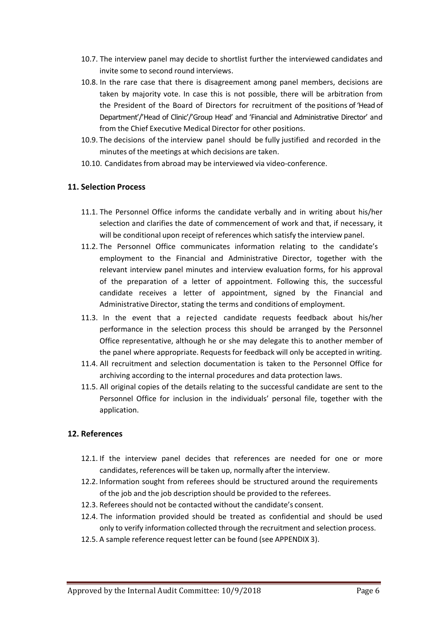- 10.7. The interview panel may decide to shortlist further the interviewed candidates and invite some to second round interviews.
- 10.8. In the rare case that there is disagreement among panel members, decisions are taken by majority vote. In case this is not possible, there will be arbitration from the President of the Board of Directors for recruitment of the positions of 'Head of Department'/'Head of Clinic'/'Group Head' and 'Financial and Administrative Director' and from the Chief Executive Medical Director for other positions.
- 10.9. The decisions of the interview panel should be fully justified and recorded in the minutes of the meetings at which decisions are taken.
- 10.10. Candidates from abroad may be interviewed via video-conference.

## **11. Selection Process**

- 11.1. The Personnel Office informs the candidate verbally and in writing about his/her selection and clarifies the date of commencement of work and that, if necessary, it will be conditional upon receipt of references which satisfy the interview panel.
- 11.2. The Personnel Office communicates information relating to the candidate's employment to the Financial and Administrative Director, together with the relevant interview panel minutes and interview evaluation forms, for his approval of the preparation of a letter of appointment. Following this, the successful candidate receives a letter of appointment, signed by the Financial and Administrative Director, stating the terms and conditions of employment.
- 11.3. In the event that a rejected candidate requests feedback about his/her performance in the selection process this should be arranged by the Personnel Office representative, although he or she may delegate this to another member of the panel where appropriate. Requestsfor feedback will only be accepted in writing.
- 11.4. All recruitment and selection documentation is taken to the Personnel Office for archiving according to the internal procedures and data protection laws.
- 11.5. All original copies of the details relating to the successful candidate are sent to the Personnel Office for inclusion in the individuals' personal file, together with the application.

## **12. References**

- 12.1. If the interview panel decides that references are needed for one or more candidates, references will be taken up, normally after the interview.
- 12.2. Information sought from referees should be structured around the requirements of the job and the job description should be provided to the referees.
- 12.3. Referees should not be contacted without the candidate's consent.
- 12.4. The information provided should be treated as confidential and should be used only to verify information collected through the recruitment and selection process.
- 12.5. A sample reference request letter can be found (see APPENDIX 3).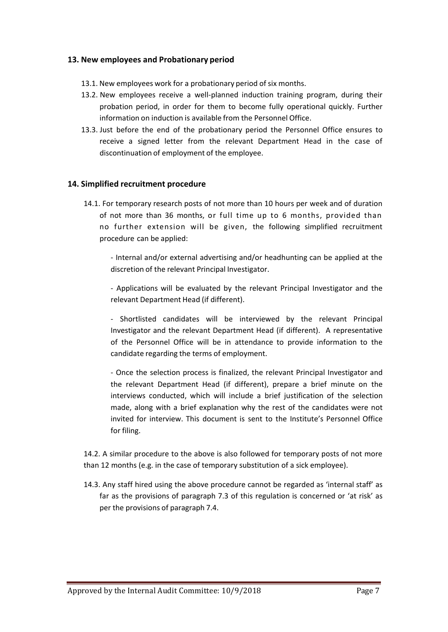#### **13. New employees and Probationary period**

- 13.1. New employees work for a probationary period of six months.
- 13.2. New employees receive a well-planned induction training program, during their probation period, in order for them to become fully operational quickly. Further information on induction is available from the Personnel Office.
- 13.3. Just before the end of the probationary period the Personnel Office ensures to receive a signed letter from the relevant Department Head in the case of discontinuation of employment of the employee.

#### **14. Simplified recruitment procedure**

14.1. For temporary research posts of not more than 10 hours per week and of duration of not more than 36 months, or full time up to 6 months, provided than no further extension will be given, the following simplified recruitment procedure can be applied:

- Internal and/or external advertising and/or headhunting can be applied at the discretion of the relevant Principal Investigator.

- Applications will be evaluated by the relevant Principal Investigator and the relevant Department Head (if different).

- Shortlisted candidates will be interviewed by the relevant Principal Investigator and the relevant Department Head (if different). A representative of the Personnel Office will be in attendance to provide information to the candidate regarding the terms of employment.

- Once the selection process is finalized, the relevant Principal Investigator and the relevant Department Head (if different), prepare a brief minute on the interviews conducted, which will include a brief justification of the selection made, along with a brief explanation why the rest of the candidates were not invited for interview. This document is sent to the Institute's Personnel Office for filing.

14.2. A similar procedure to the above is also followed for temporary posts of not more than 12 months (e.g. in the case of temporary substitution of a sick employee).

14.3. Any staff hired using the above procedure cannot be regarded as 'internal staff' as far as the provisions of paragraph 7.3 of this regulation is concerned or 'at risk' as per the provisions of paragraph 7.4.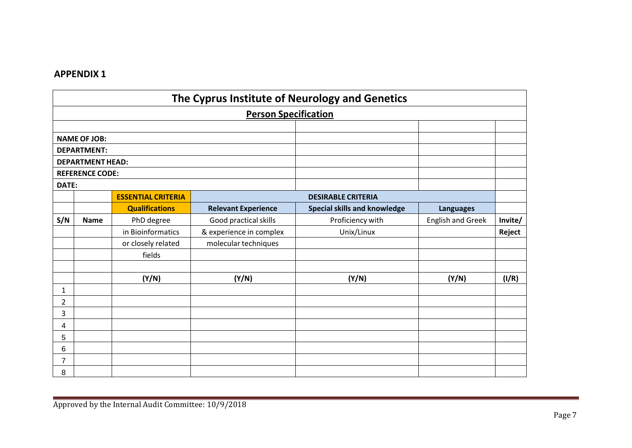| The Cyprus Institute of Neurology and Genetics |                         |                                     |                            |                                     |                          |         |  |  |  |  |
|------------------------------------------------|-------------------------|-------------------------------------|----------------------------|-------------------------------------|--------------------------|---------|--|--|--|--|
| <b>Person Specification</b>                    |                         |                                     |                            |                                     |                          |         |  |  |  |  |
|                                                |                         |                                     |                            |                                     |                          |         |  |  |  |  |
| <b>NAME OF JOB:</b>                            |                         |                                     |                            |                                     |                          |         |  |  |  |  |
|                                                | <b>DEPARTMENT:</b>      |                                     |                            |                                     |                          |         |  |  |  |  |
|                                                | <b>DEPARTMENT HEAD:</b> |                                     |                            |                                     |                          |         |  |  |  |  |
|                                                | <b>REFERENCE CODE:</b>  |                                     |                            |                                     |                          |         |  |  |  |  |
| DATE:                                          |                         |                                     |                            |                                     |                          |         |  |  |  |  |
|                                                |                         | <b>ESSENTIAL CRITERIA</b>           |                            | <b>DESIRABLE CRITERIA</b>           |                          |         |  |  |  |  |
|                                                |                         | <b>Qualifications</b>               | <b>Relevant Experience</b> | <b>Special skills and knowledge</b> | <b>Languages</b>         |         |  |  |  |  |
| S/N                                            | <b>Name</b>             | PhD degree<br>Good practical skills |                            | Proficiency with                    | <b>English and Greek</b> | Invite/ |  |  |  |  |
|                                                |                         | in Bioinformatics                   | & experience in complex    | Unix/Linux                          |                          | Reject  |  |  |  |  |
|                                                |                         | or closely related                  | molecular techniques       |                                     |                          |         |  |  |  |  |
|                                                |                         | fields                              |                            |                                     |                          |         |  |  |  |  |
|                                                |                         |                                     |                            |                                     |                          |         |  |  |  |  |
|                                                |                         | (Y/N)                               | (Y/N)                      | (Y/N)                               | (Y/N)                    | (I/R)   |  |  |  |  |
| $\mathbf{1}$                                   |                         |                                     |                            |                                     |                          |         |  |  |  |  |
| 2                                              |                         |                                     |                            |                                     |                          |         |  |  |  |  |
| 3                                              |                         |                                     |                            |                                     |                          |         |  |  |  |  |
| 4                                              |                         |                                     |                            |                                     |                          |         |  |  |  |  |
| 5                                              |                         |                                     |                            |                                     |                          |         |  |  |  |  |
| 6                                              |                         |                                     |                            |                                     |                          |         |  |  |  |  |
| 7                                              |                         |                                     |                            |                                     |                          |         |  |  |  |  |
| 8                                              |                         |                                     |                            |                                     |                          |         |  |  |  |  |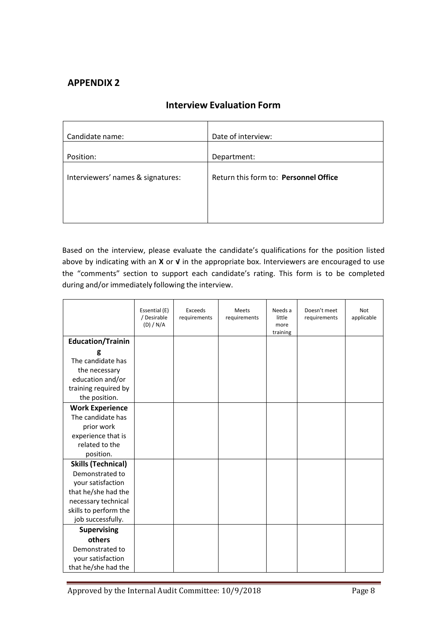| Candidate name:                   | Date of interview:                    |
|-----------------------------------|---------------------------------------|
| Position:                         | Department:                           |
| Interviewers' names & signatures: | Return this form to: Personnel Office |
|                                   |                                       |
|                                   |                                       |

# **Interview Evaluation Form**

Based on the interview, please evaluate the candidate's qualifications for the position listed above by indicating with an **X** or **√** in the appropriate box. Interviewers are encouraged to use the "comments" section to support each candidate's rating. This form is to be completed during and/or immediately following the interview.

|                           | Essential (E)<br>/ Desirable<br>(D) / N/A | Exceeds<br>requirements | <b>Meets</b><br>requirements | Needs a<br>little<br>more<br>training | Doesn't meet<br>requirements | Not<br>applicable |
|---------------------------|-------------------------------------------|-------------------------|------------------------------|---------------------------------------|------------------------------|-------------------|
| <b>Education/Trainin</b>  |                                           |                         |                              |                                       |                              |                   |
| g                         |                                           |                         |                              |                                       |                              |                   |
| The candidate has         |                                           |                         |                              |                                       |                              |                   |
| the necessary             |                                           |                         |                              |                                       |                              |                   |
| education and/or          |                                           |                         |                              |                                       |                              |                   |
| training required by      |                                           |                         |                              |                                       |                              |                   |
| the position.             |                                           |                         |                              |                                       |                              |                   |
| <b>Work Experience</b>    |                                           |                         |                              |                                       |                              |                   |
| The candidate has         |                                           |                         |                              |                                       |                              |                   |
| prior work                |                                           |                         |                              |                                       |                              |                   |
| experience that is        |                                           |                         |                              |                                       |                              |                   |
| related to the            |                                           |                         |                              |                                       |                              |                   |
| position.                 |                                           |                         |                              |                                       |                              |                   |
| <b>Skills (Technical)</b> |                                           |                         |                              |                                       |                              |                   |
| Demonstrated to           |                                           |                         |                              |                                       |                              |                   |
| your satisfaction         |                                           |                         |                              |                                       |                              |                   |
| that he/she had the       |                                           |                         |                              |                                       |                              |                   |
| necessary technical       |                                           |                         |                              |                                       |                              |                   |
| skills to perform the     |                                           |                         |                              |                                       |                              |                   |
| job successfully.         |                                           |                         |                              |                                       |                              |                   |
| <b>Supervising</b>        |                                           |                         |                              |                                       |                              |                   |
| others                    |                                           |                         |                              |                                       |                              |                   |
| Demonstrated to           |                                           |                         |                              |                                       |                              |                   |
| your satisfaction         |                                           |                         |                              |                                       |                              |                   |
| that he/she had the       |                                           |                         |                              |                                       |                              |                   |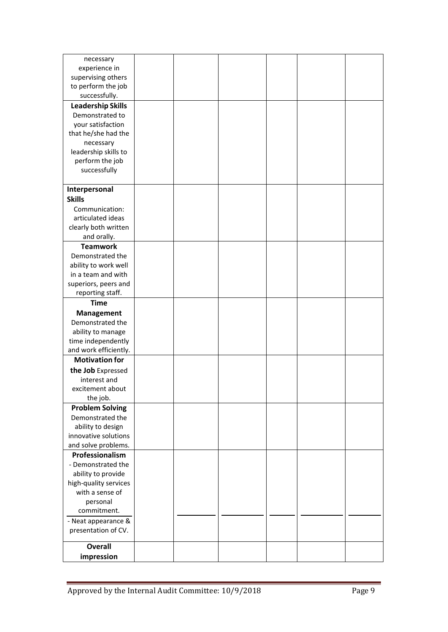| necessary                |  |  |  |
|--------------------------|--|--|--|
| experience in            |  |  |  |
| supervising others       |  |  |  |
| to perform the job       |  |  |  |
| successfully.            |  |  |  |
| <b>Leadership Skills</b> |  |  |  |
| Demonstrated to          |  |  |  |
| your satisfaction        |  |  |  |
| that he/she had the      |  |  |  |
| necessary                |  |  |  |
| leadership skills to     |  |  |  |
| perform the job          |  |  |  |
| successfully             |  |  |  |
|                          |  |  |  |
|                          |  |  |  |
| Interpersonal            |  |  |  |
| <b>Skills</b>            |  |  |  |
| Communication:           |  |  |  |
| articulated ideas        |  |  |  |
| clearly both written     |  |  |  |
| and orally.              |  |  |  |
| <b>Teamwork</b>          |  |  |  |
| Demonstrated the         |  |  |  |
| ability to work well     |  |  |  |
| in a team and with       |  |  |  |
| superiors, peers and     |  |  |  |
| reporting staff.         |  |  |  |
| <b>Time</b>              |  |  |  |
|                          |  |  |  |
| <b>Management</b>        |  |  |  |
| Demonstrated the         |  |  |  |
| ability to manage        |  |  |  |
| time independently       |  |  |  |
| and work efficiently.    |  |  |  |
| <b>Motivation for</b>    |  |  |  |
| the Job Expressed        |  |  |  |
| interest and             |  |  |  |
| excitement about         |  |  |  |
| the job.                 |  |  |  |
| <b>Problem Solving</b>   |  |  |  |
| Demonstrated the         |  |  |  |
| ability to design        |  |  |  |
| innovative solutions     |  |  |  |
| and solve problems.      |  |  |  |
|                          |  |  |  |
| Professionalism          |  |  |  |
| - Demonstrated the       |  |  |  |
| ability to provide       |  |  |  |
| high-quality services    |  |  |  |
| with a sense of          |  |  |  |
| personal                 |  |  |  |
| commitment.              |  |  |  |
| - Neat appearance &      |  |  |  |
| presentation of CV.      |  |  |  |
|                          |  |  |  |
| <b>Overall</b>           |  |  |  |
| impression               |  |  |  |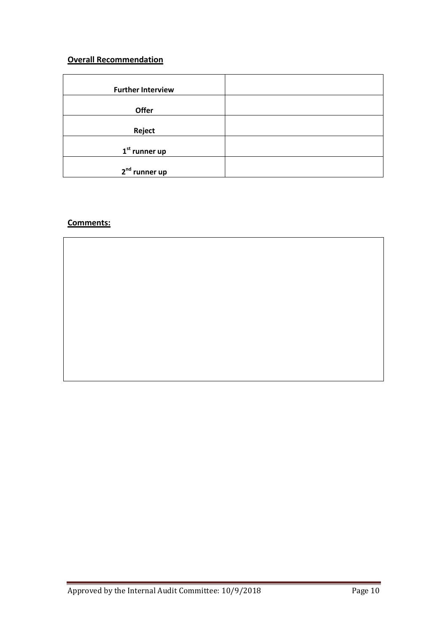# **Overall Recommendation**

| <b>Further Interview</b>  |  |
|---------------------------|--|
| Offer                     |  |
| Reject                    |  |
| $1st$ runner up           |  |
| 2 <sup>nd</sup> runner up |  |

# **Comments:**

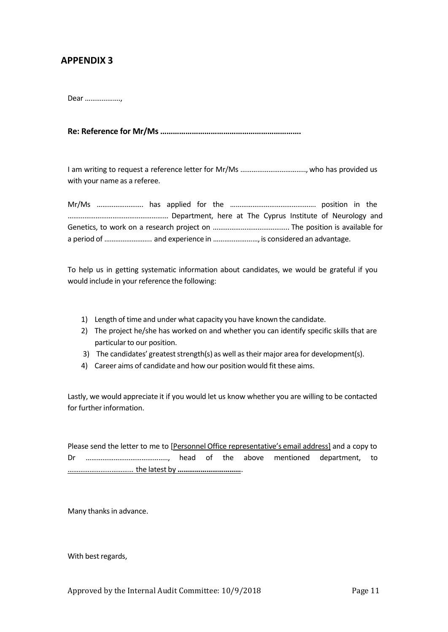Dear ……………….,

**Re: Reference for Mr/Ms ………………………………………………………….**

I am writing to request a reference letter for Mr/Ms …………………………….., who has provided us with your name as a referee.

To help us in getting systematic information about candidates, we would be grateful if you would include in your reference the following:

- 1) Length of time and under what capacity you have known the candidate.
- 2) The project he/she has worked on and whether you can identify specific skills that are particular to our position.
- 3) The candidates' greatest strength(s) as well as their major area for development(s).
- 4) Career aims of candidate and how our position would fit these aims.

Lastly, we would appreciate it if you would let us know whether you are willing to be contacted for further information.

Please send the letter to me to [Personnel Office representative's email address] and a copy to Dr …………………………………….., head of the above mentioned department, to ……………………………… the latest by **……………………………**.

Many thanks in advance.

With best regards,